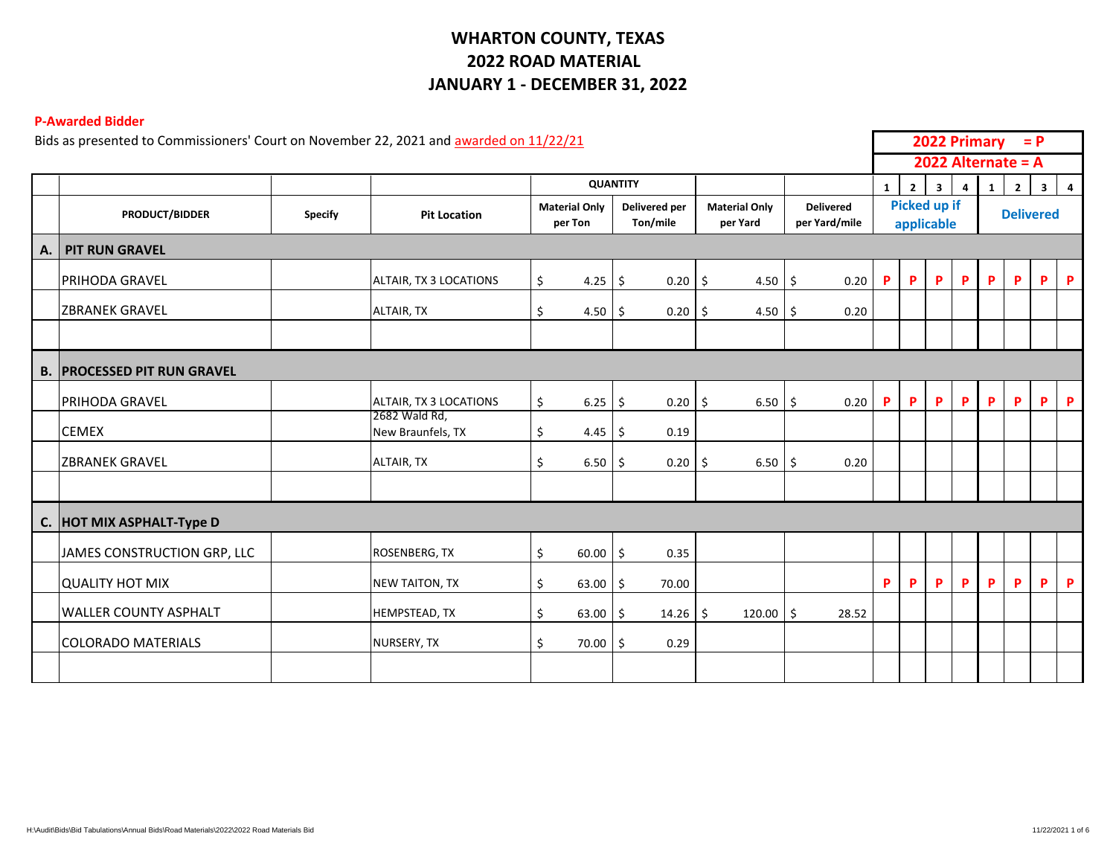# **WHARTON COUNTY, TEXAS 2022 ROAD MATERIAL JANUARY 1 - DECEMBER 31, 2022**

### **P-Awarded Bidder**

|                  | Bids as presented to Commissioners' Court on November 22, 2021 and awarded on 11/22/21 |                |                                    |                                   |                           |                                  |                                   |   |                |                            | 2022 Primary   |              | $= P$                |                  |                |
|------------------|----------------------------------------------------------------------------------------|----------------|------------------------------------|-----------------------------------|---------------------------|----------------------------------|-----------------------------------|---|----------------|----------------------------|----------------|--------------|----------------------|------------------|----------------|
|                  |                                                                                        |                |                                    |                                   |                           |                                  |                                   |   |                |                            |                |              | 2022 Alternate = $A$ |                  |                |
|                  |                                                                                        |                |                                    |                                   | <b>QUANTITY</b>           |                                  |                                   | 1 | $\overline{2}$ | 3 <sup>1</sup>             | $\overline{4}$ | $\mathbf{1}$ | $\overline{2}$       | $3^{\circ}$      | $\overline{a}$ |
|                  | <b>PRODUCT/BIDDER</b>                                                                  | <b>Specify</b> | <b>Pit Location</b>                | <b>Material Only</b><br>per Ton   | Delivered per<br>Ton/mile | <b>Material Only</b><br>per Yard | <b>Delivered</b><br>per Yard/mile |   |                | Picked up if<br>applicable |                |              |                      | <b>Delivered</b> |                |
| $\vert A. \vert$ | <b>PIT RUN GRAVEL</b>                                                                  |                |                                    |                                   |                           |                                  |                                   |   |                |                            |                |              |                      |                  |                |
|                  | <b>PRIHODA GRAVEL</b>                                                                  |                | ALTAIR, TX 3 LOCATIONS             | \$<br>4.25                        | 0.20<br>\$                | \$<br>4.50                       | 0.20<br>\$                        | P | P              | P                          | P              | P            | P                    | P                | P              |
|                  | <b>IZBRANEK GRAVEL</b>                                                                 |                | ALTAIR, TX                         | \$<br>$4.50 \, \vert \, \text{S}$ | 0.20                      | $4.50 \, \vert \, \xi$<br>l \$   | 0.20                              |   |                |                            |                |              |                      |                  |                |
|                  |                                                                                        |                |                                    |                                   |                           |                                  |                                   |   |                |                            |                |              |                      |                  |                |
|                  | <b>B. PROCESSED PIT RUN GRAVEL</b>                                                     |                |                                    |                                   |                           |                                  |                                   |   |                |                            |                |              |                      |                  |                |
|                  | <b>PRIHODA GRAVEL</b>                                                                  |                | ALTAIR, TX 3 LOCATIONS             | \$<br>6.25                        | \$<br>0.20                | $\ddot{\mathsf{S}}$<br>6.50      | 0.20<br>-\$                       | P | P              | P                          | P              | P            | P                    | P                | P              |
|                  | <b>CEMEX</b>                                                                           |                | 2682 Wald Rd,<br>New Braunfels, TX | \$<br>4.45                        | 0.19<br>-\$               |                                  |                                   |   |                |                            |                |              |                      |                  |                |
|                  | <b>ZBRANEK GRAVEL</b>                                                                  |                | ALTAIR, TX                         | \$<br>6.50                        | 0.20<br>Ŝ.                | -\$<br>6.50                      | 0.20<br>\$                        |   |                |                            |                |              |                      |                  |                |
|                  |                                                                                        |                |                                    |                                   |                           |                                  |                                   |   |                |                            |                |              |                      |                  |                |
|                  | C. HOT MIX ASPHALT-Type D                                                              |                |                                    |                                   |                           |                                  |                                   |   |                |                            |                |              |                      |                  |                |
|                  | JAMES CONSTRUCTION GRP, LLC                                                            |                | ROSENBERG, TX                      | \$<br>60.00                       | \$<br>0.35                |                                  |                                   |   |                |                            |                |              |                      |                  |                |
|                  | <b>QUALITY HOT MIX</b>                                                                 |                | <b>NEW TAITON, TX</b>              | \$<br>63.00                       | Ŝ.<br>70.00               |                                  |                                   | P | P              | P                          | P              | P            | <b>P</b>             | P                | P              |
|                  | <b>WALLER COUNTY ASPHALT</b>                                                           |                | HEMPSTEAD, TX                      | \$<br>$63.00$ \$                  | 14.26                     | -\$<br>120.00                    | \$<br>28.52                       |   |                |                            |                |              |                      |                  |                |
|                  | <b>COLORADO MATERIALS</b>                                                              |                | NURSERY, TX                        | \$<br>70.00                       | 0.29<br>\$                |                                  |                                   |   |                |                            |                |              |                      |                  |                |
|                  |                                                                                        |                |                                    |                                   |                           |                                  |                                   |   |                |                            |                |              |                      |                  |                |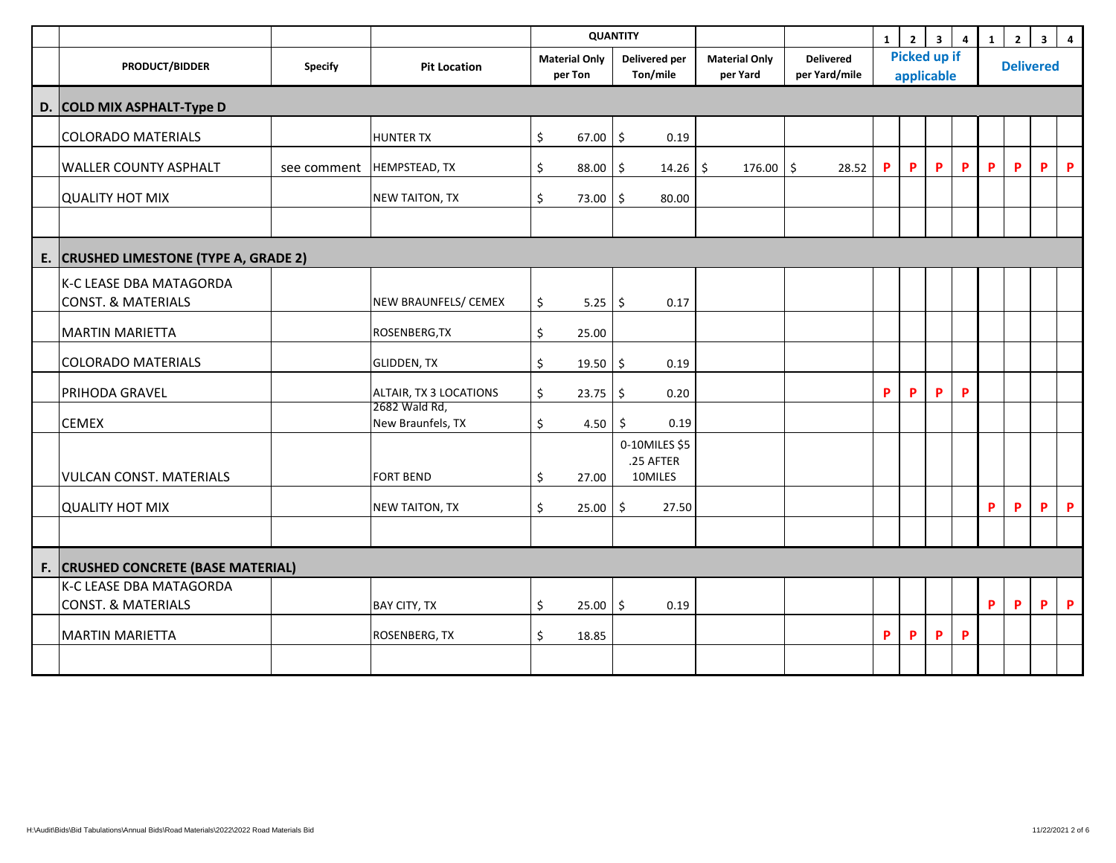|                                                          |                            |                                    |                                 |             | <b>QUANTITY</b>                       |                                  |                                   | $\mathbf{1}$               | $\overline{2}$ | $\overline{\mathbf{3}}$ | $\overline{4}$ | 1 | $\overline{2}$   | $\overline{\mathbf{3}}$ | $\overline{\mathbf{4}}$ |
|----------------------------------------------------------|----------------------------|------------------------------------|---------------------------------|-------------|---------------------------------------|----------------------------------|-----------------------------------|----------------------------|----------------|-------------------------|----------------|---|------------------|-------------------------|-------------------------|
| <b>PRODUCT/BIDDER</b>                                    | <b>Specify</b>             | <b>Pit Location</b>                | <b>Material Only</b><br>per Ton |             | Delivered per<br>Ton/mile             | <b>Material Only</b><br>per Yard | <b>Delivered</b><br>per Yard/mile | Picked up if<br>applicable |                |                         |                |   | <b>Delivered</b> |                         |                         |
| D. COLD MIX ASPHALT-Type D                               |                            |                                    |                                 |             |                                       |                                  |                                   |                            |                |                         |                |   |                  |                         |                         |
| <b>COLORADO MATERIALS</b>                                |                            | <b>HUNTER TX</b>                   | \$                              | $67.00$ \$  | 0.19                                  |                                  |                                   |                            |                |                         |                |   |                  |                         |                         |
| <b>WALLER COUNTY ASPHALT</b>                             | see comment  HEMPSTEAD, TX |                                    | \$                              | 88.00       | \$<br>14.26                           | 176.00<br>\$                     | \$<br>28.52                       | P                          | P              | P                       | P              | P | P                | P                       | $\mathsf{P}$            |
| <b>QUALITY HOT MIX</b>                                   |                            | <b>NEW TAITON, TX</b>              | \$                              | 73.00       | Ŝ.<br>80.00                           |                                  |                                   |                            |                |                         |                |   |                  |                         |                         |
|                                                          |                            |                                    |                                 |             |                                       |                                  |                                   |                            |                |                         |                |   |                  |                         |                         |
| E. CRUSHED LIMESTONE (TYPE A, GRADE 2)                   |                            |                                    |                                 |             |                                       |                                  |                                   |                            |                |                         |                |   |                  |                         |                         |
| K-C LEASE DBA MATAGORDA<br><b>CONST. &amp; MATERIALS</b> |                            | NEW BRAUNFELS/ CEMEX               | \$                              | $5.25$   \$ | 0.17                                  |                                  |                                   |                            |                |                         |                |   |                  |                         |                         |
| <b>MARTIN MARIETTA</b>                                   |                            | ROSENBERG, TX                      | \$                              | 25.00       |                                       |                                  |                                   |                            |                |                         |                |   |                  |                         |                         |
| <b>COLORADO MATERIALS</b>                                |                            | <b>GLIDDEN, TX</b>                 | \$                              | 19.50       | \$<br>0.19                            |                                  |                                   |                            |                |                         |                |   |                  |                         |                         |
| <b>PRIHODA GRAVEL</b>                                    |                            | ALTAIR, TX 3 LOCATIONS             | \$                              | 23.75       | \$<br>0.20                            |                                  |                                   | P                          | P              | P                       | P              |   |                  |                         |                         |
| <b>CEMEX</b>                                             |                            | 2682 Wald Rd,<br>New Braunfels, TX | \$                              | 4.50        | 0.19<br>\$                            |                                  |                                   |                            |                |                         |                |   |                  |                         |                         |
| <b>VULCAN CONST. MATERIALS</b>                           |                            | <b>FORT BEND</b>                   | \$                              | 27.00       | 0-10MILES \$5<br>.25 AFTER<br>10MILES |                                  |                                   |                            |                |                         |                |   |                  |                         |                         |
| QUALITY HOT MIX                                          |                            | <b>NEW TAITON, TX</b>              | \$                              | 25.00       | \$<br>27.50                           |                                  |                                   |                            |                |                         |                | P | P                | P                       | $\mathsf{P}$            |
|                                                          |                            |                                    |                                 |             |                                       |                                  |                                   |                            |                |                         |                |   |                  |                         |                         |
| F. CRUSHED CONCRETE (BASE MATERIAL)                      |                            |                                    |                                 |             |                                       |                                  |                                   |                            |                |                         |                |   |                  |                         |                         |
| K-C LEASE DBA MATAGORDA<br><b>CONST. &amp; MATERIALS</b> |                            | <b>BAY CITY, TX</b>                | \$                              | 25.00       | \$<br>0.19                            |                                  |                                   |                            |                |                         |                | P | P                | P                       | $\mathsf{P}$            |
| <b>MARTIN MARIETTA</b>                                   |                            | ROSENBERG, TX                      | \$                              | 18.85       |                                       |                                  |                                   | P                          | P              | P                       | P              |   |                  |                         |                         |
|                                                          |                            |                                    |                                 |             |                                       |                                  |                                   |                            |                |                         |                |   |                  |                         |                         |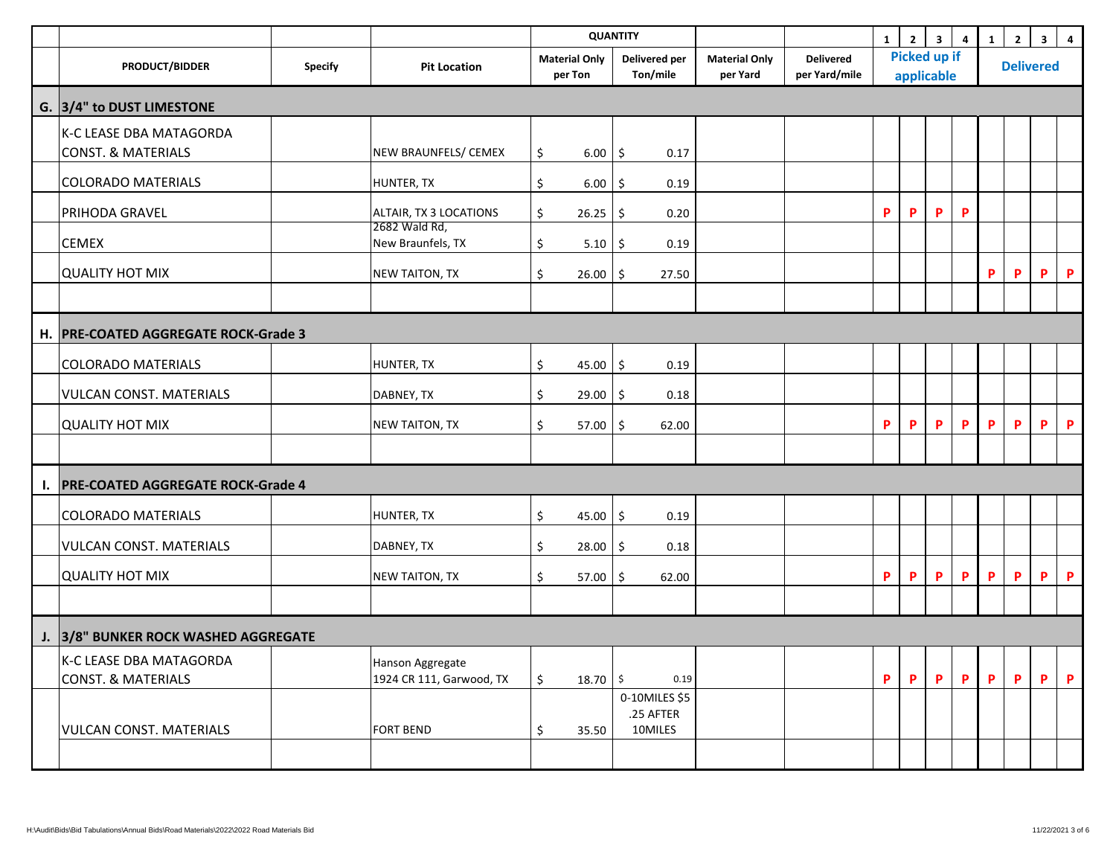|    |                                          |                |                                    |                                 | <b>QUANTITY</b>            |                                  |                                   | $\mathbf{1}$ | $\overline{2}$                    | 3 <sup>1</sup> | $\overline{\mathbf{4}}$ | $\mathbf{1}$ | $\mathbf{2}$     | $\overline{\mathbf{3}}$ | $\overline{\mathbf{4}}$ |
|----|------------------------------------------|----------------|------------------------------------|---------------------------------|----------------------------|----------------------------------|-----------------------------------|--------------|-----------------------------------|----------------|-------------------------|--------------|------------------|-------------------------|-------------------------|
|    | <b>PRODUCT/BIDDER</b>                    | <b>Specify</b> | <b>Pit Location</b>                | <b>Material Only</b><br>per Ton | Delivered per<br>Ton/mile  | <b>Material Only</b><br>per Yard | <b>Delivered</b><br>per Yard/mile |              | <b>Picked up if</b><br>applicable |                |                         |              | <b>Delivered</b> |                         |                         |
|    | G. 3/4" to DUST LIMESTONE                |                |                                    |                                 |                            |                                  |                                   |              |                                   |                |                         |              |                  |                         |                         |
|    | K-C LEASE DBA MATAGORDA                  |                |                                    |                                 |                            |                                  |                                   |              |                                   |                |                         |              |                  |                         |                         |
|    | <b>CONST. &amp; MATERIALS</b>            |                | NEW BRAUNFELS/ CEMEX               | \$<br>6.00%                     | 0.17                       |                                  |                                   |              |                                   |                |                         |              |                  |                         |                         |
|    | <b>COLORADO MATERIALS</b>                |                | HUNTER, TX                         | \$<br>6.00                      | \$<br>0.19                 |                                  |                                   |              |                                   |                |                         |              |                  |                         |                         |
|    | PRIHODA GRAVEL                           |                | ALTAIR, TX 3 LOCATIONS             | \$<br>26.25                     | \$<br>0.20                 |                                  |                                   | P            | P                                 | P              | P                       |              |                  |                         |                         |
|    | <b>CEMEX</b>                             |                | 2682 Wald Rd,<br>New Braunfels, TX | \$<br>5.10                      | \$<br>0.19                 |                                  |                                   |              |                                   |                |                         |              |                  |                         |                         |
|    |                                          |                |                                    |                                 |                            |                                  |                                   |              |                                   |                |                         |              |                  |                         |                         |
|    | QUALITY HOT MIX                          |                | <b>NEW TAITON, TX</b>              | \$<br>26.00                     | 27.50<br>\$                |                                  |                                   |              |                                   |                |                         | P            | P                | P                       | $\mathsf{P}$            |
|    |                                          |                |                                    |                                 |                            |                                  |                                   |              |                                   |                |                         |              |                  |                         |                         |
|    | H. PRE-COATED AGGREGATE ROCK-Grade 3     |                |                                    |                                 |                            |                                  |                                   |              |                                   |                |                         |              |                  |                         |                         |
|    | <b>COLORADO MATERIALS</b>                |                | HUNTER, TX                         | \$<br>45.00                     | \$<br>0.19                 |                                  |                                   |              |                                   |                |                         |              |                  |                         |                         |
|    | <b>VULCAN CONST. MATERIALS</b>           |                | DABNEY, TX                         | \$<br>29.00                     | \$<br>0.18                 |                                  |                                   |              |                                   |                |                         |              |                  |                         |                         |
|    | QUALITY HOT MIX                          |                | NEW TAITON, TX                     | \$<br>57.00                     | \$<br>62.00                |                                  |                                   | P            | P                                 | P              | P                       | $\mathbf P$  | P                | P                       | $\mathsf P$             |
|    |                                          |                |                                    |                                 |                            |                                  |                                   |              |                                   |                |                         |              |                  |                         |                         |
| Ι. | <b>PRE-COATED AGGREGATE ROCK-Grade 4</b> |                |                                    |                                 |                            |                                  |                                   |              |                                   |                |                         |              |                  |                         |                         |
|    | <b>COLORADO MATERIALS</b>                |                | HUNTER, TX                         | \$<br>45.00                     | \$<br>0.19                 |                                  |                                   |              |                                   |                |                         |              |                  |                         |                         |
|    | <b>VULCAN CONST. MATERIALS</b>           |                | DABNEY, TX                         | \$<br>28.00                     | \$<br>0.18                 |                                  |                                   |              |                                   |                |                         |              |                  |                         |                         |
|    | QUALITY HOT MIX                          |                | NEW TAITON, TX                     | \$<br>57.00                     | \$<br>62.00                |                                  |                                   | P            | P                                 | P              | P                       | P            | P                | P                       | $\mathsf{P}$            |
|    |                                          |                |                                    |                                 |                            |                                  |                                   |              |                                   |                |                         |              |                  |                         |                         |
|    | J. 3/8" BUNKER ROCK WASHED AGGREGATE     |                |                                    |                                 |                            |                                  |                                   |              |                                   |                |                         |              |                  |                         |                         |
|    | K-C LEASE DBA MATAGORDA                  |                | Hanson Aggregate                   |                                 |                            |                                  |                                   |              |                                   |                |                         |              |                  |                         |                         |
|    | <b>CONST. &amp; MATERIALS</b>            |                | 1924 CR 111, Garwood, TX           | \$<br>$18.70$ \$                | 0.19                       |                                  |                                   | P            | P.                                | P.             | $\mathsf{P}$            | P            | P.               | P                       | $\mathsf{P}$            |
|    |                                          |                |                                    |                                 | 0-10MILES \$5<br>.25 AFTER |                                  |                                   |              |                                   |                |                         |              |                  |                         |                         |
|    | <b>VULCAN CONST. MATERIALS</b>           |                | <b>FORT BEND</b>                   | \$<br>35.50                     | 10MILES                    |                                  |                                   |              |                                   |                |                         |              |                  |                         |                         |
|    |                                          |                |                                    |                                 |                            |                                  |                                   |              |                                   |                |                         |              |                  |                         |                         |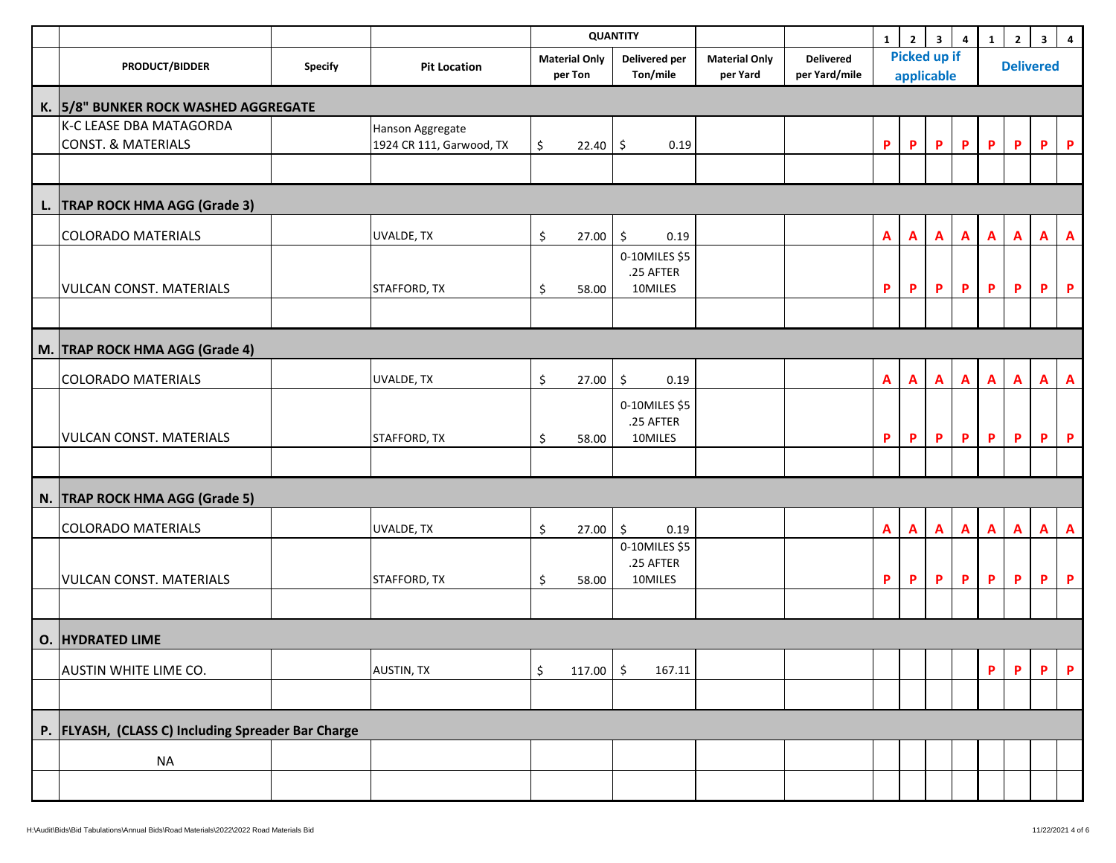|                                                          |                |                                              |                                 | <b>QUANTITY</b>                          |                                  |                                   | $\mathbf{1}$   | $\overline{2}$                    | 3 <sup>1</sup> | $\boldsymbol{4}$ | $\mathbf{1}$ | $\mathbf{2}$     | $\mathbf{3}$ | $\overline{\mathbf{4}}$ |
|----------------------------------------------------------|----------------|----------------------------------------------|---------------------------------|------------------------------------------|----------------------------------|-----------------------------------|----------------|-----------------------------------|----------------|------------------|--------------|------------------|--------------|-------------------------|
| <b>PRODUCT/BIDDER</b>                                    | <b>Specify</b> | <b>Pit Location</b>                          | <b>Material Only</b><br>per Ton | <b>Delivered per</b><br>Ton/mile         | <b>Material Only</b><br>per Yard | <b>Delivered</b><br>per Yard/mile |                | <b>Picked up if</b><br>applicable |                |                  |              | <b>Delivered</b> |              |                         |
| K. 5/8" BUNKER ROCK WASHED AGGREGATE                     |                |                                              |                                 |                                          |                                  |                                   |                |                                   |                |                  |              |                  |              |                         |
| K-C LEASE DBA MATAGORDA<br><b>CONST. &amp; MATERIALS</b> |                | Hanson Aggregate<br>1924 CR 111, Garwood, TX | \$<br>$22.40$ \$                | 0.19                                     |                                  |                                   | P              | P                                 | P              | P                | $\mathsf P$  | P                | P.           | $\mathsf P$             |
|                                                          |                |                                              |                                 |                                          |                                  |                                   |                |                                   |                |                  |              |                  |              |                         |
| L. TRAP ROCK HMA AGG (Grade 3)                           |                |                                              |                                 |                                          |                                  |                                   |                |                                   |                |                  |              |                  |              |                         |
| <b>COLORADO MATERIALS</b>                                |                | UVALDE, TX                                   | \$<br>27.00                     | \$<br>0.19                               |                                  |                                   | $\overline{A}$ | $\mathbf{A}$                      | $\mathbf{A}$   | $\mathbf{A}$     | $\mathbf{A}$ | A                | $\mathbf{A}$ | $\mathbf{A}$            |
| <b>VULCAN CONST. MATERIALS</b>                           |                | STAFFORD, TX                                 | \$<br>58.00                     | 0-10MILES \$5<br>.25 AFTER<br>10MILES    |                                  |                                   | P              | P                                 | P              | $\mathsf P$      | $\mathsf P$  | P                | P.           | $\mathsf{P}$            |
| M. TRAP ROCK HMA AGG (Grade 4)                           |                |                                              |                                 |                                          |                                  |                                   |                |                                   |                |                  |              |                  |              |                         |
|                                                          |                |                                              |                                 |                                          |                                  |                                   |                |                                   |                |                  |              |                  |              |                         |
| <b>COLORADO MATERIALS</b>                                |                | UVALDE, TX                                   | $\zeta$<br>27.00                | \$<br>0.19<br>0-10MILES \$5<br>.25 AFTER |                                  |                                   | $\overline{A}$ | A                                 | $\mathbf{A}$   | $\mathbf{A}$     | $\mathbf{A}$ | A                | $\mathbf{A}$ | $\mathbf{A}$            |
| <b>VULCAN CONST. MATERIALS</b>                           |                | STAFFORD, TX                                 | \$<br>58.00                     | 10MILES                                  |                                  |                                   | P              | P                                 | P              | P                | P            | P                | P.           | $\mathsf{P}$            |
|                                                          |                |                                              |                                 |                                          |                                  |                                   |                |                                   |                |                  |              |                  |              |                         |
| N. TRAP ROCK HMA AGG (Grade 5)                           |                |                                              |                                 |                                          |                                  |                                   |                |                                   |                |                  |              |                  |              |                         |
| <b>COLORADO MATERIALS</b>                                |                | UVALDE, TX                                   | \$<br>27.00                     | $\zeta$<br>0.19                          |                                  |                                   | $\overline{A}$ | A                                 | $\mathbf{A}$   | $\mathbf{A}$     | $\mathbf{A}$ | A                | $\mathbf{A}$ | $\mathbf{A}$            |
| <b>VULCAN CONST. MATERIALS</b>                           |                | STAFFORD, TX                                 | \$<br>58.00                     | 0-10MILES \$5<br>.25 AFTER<br>10MILES    |                                  |                                   | P              | $\pmb{\mathsf{P}}$                | P              | $\mathsf P$      | P            | P                | P.           | $\mathsf{P}$            |
|                                                          |                |                                              |                                 |                                          |                                  |                                   |                |                                   |                |                  |              |                  |              |                         |
| O. HYDRATED LIME                                         |                |                                              |                                 |                                          |                                  |                                   |                |                                   |                |                  |              |                  |              |                         |
| AUSTIN WHITE LIME CO.                                    |                | <b>AUSTIN, TX</b>                            | \$<br>117.00                    | \$<br>167.11                             |                                  |                                   |                |                                   |                |                  | P            | P                | P.           | $\mathsf{P}$            |
|                                                          |                |                                              |                                 |                                          |                                  |                                   |                |                                   |                |                  |              |                  |              |                         |
| P. FLYASH, (CLASS C) Including Spreader Bar Charge       |                |                                              |                                 |                                          |                                  |                                   |                |                                   |                |                  |              |                  |              |                         |
| <b>NA</b>                                                |                |                                              |                                 |                                          |                                  |                                   |                |                                   |                |                  |              |                  |              |                         |
|                                                          |                |                                              |                                 |                                          |                                  |                                   |                |                                   |                |                  |              |                  |              |                         |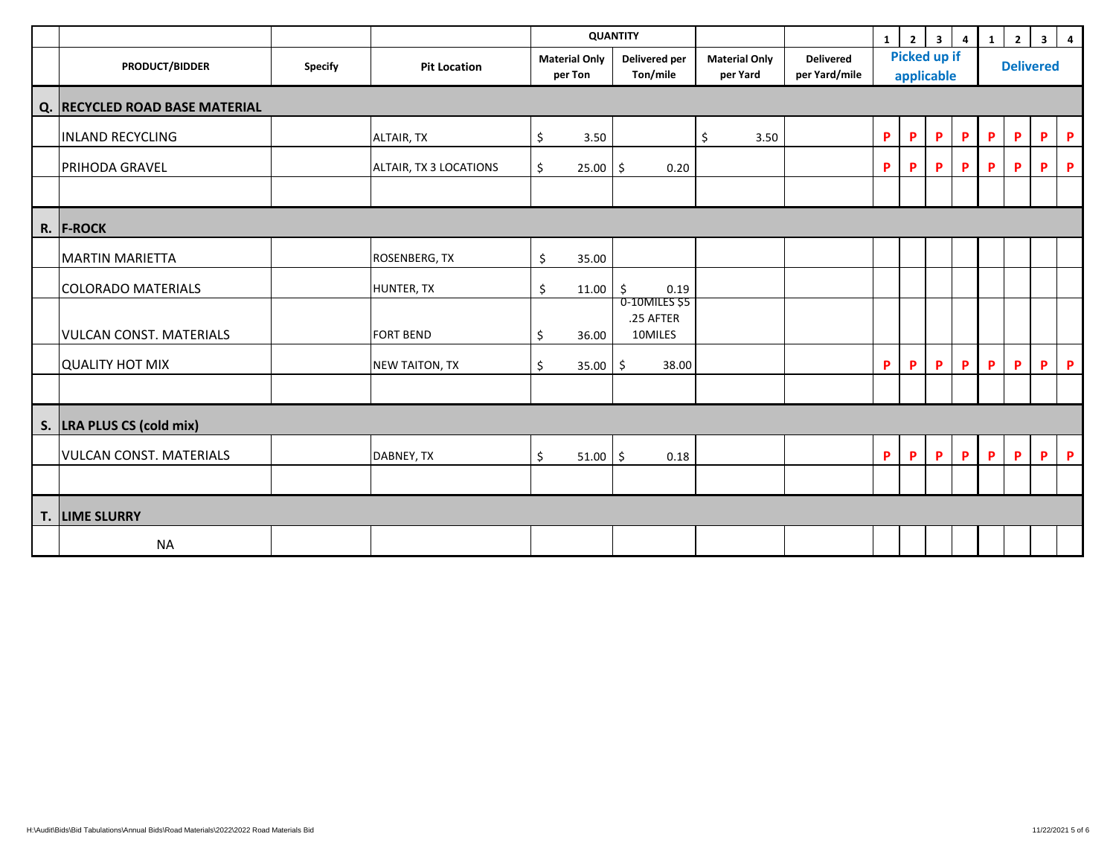|                                |                |                        |                                 | <b>QUANTITY</b>                       |                                  |                                   | $\mathbf{1}$ | $2^{\circ}$                       | $\overline{\mathbf{3}}$ | $\overline{4}$ | $\mathbf{1}$     | $\overline{2}$ | 3 <sup>1</sup> | $\overline{4}$ |
|--------------------------------|----------------|------------------------|---------------------------------|---------------------------------------|----------------------------------|-----------------------------------|--------------|-----------------------------------|-------------------------|----------------|------------------|----------------|----------------|----------------|
| <b>PRODUCT/BIDDER</b>          | <b>Specify</b> | <b>Pit Location</b>    | <b>Material Only</b><br>per Ton | <b>Delivered per</b><br>Ton/mile      | <b>Material Only</b><br>per Yard | <b>Delivered</b><br>per Yard/mile |              | <b>Picked up if</b><br>applicable |                         |                | <b>Delivered</b> |                |                |                |
| Q. RECYCLED ROAD BASE MATERIAL |                |                        |                                 |                                       |                                  |                                   |              |                                   |                         |                |                  |                |                |                |
| <b>INLAND RECYCLING</b>        |                | ALTAIR, TX             | \$<br>3.50                      |                                       | \$<br>3.50                       |                                   | P            | P                                 | P                       | P              | P                | P              | P              | P              |
| <b>PRIHODA GRAVEL</b>          |                | ALTAIR, TX 3 LOCATIONS | \$<br>25.00                     | 0.20<br>S.                            |                                  |                                   | P            | P                                 | P                       | P              | P                | P              | P              | P              |
|                                |                |                        |                                 |                                       |                                  |                                   |              |                                   |                         |                |                  |                |                |                |
| R. F-ROCK                      |                |                        |                                 |                                       |                                  |                                   |              |                                   |                         |                |                  |                |                |                |
| <b>MARTIN MARIETTA</b>         |                | ROSENBERG, TX          | \$<br>35.00                     |                                       |                                  |                                   |              |                                   |                         |                |                  |                |                |                |
| <b>COLORADO MATERIALS</b>      |                | HUNTER, TX             | \$<br>11.00                     | 0.19<br>\$                            |                                  |                                   |              |                                   |                         |                |                  |                |                |                |
| <b>VULCAN CONST. MATERIALS</b> |                | <b>FORT BEND</b>       | \$<br>36.00                     | 0-10MILES \$5<br>.25 AFTER<br>10MILES |                                  |                                   |              |                                   |                         |                |                  |                |                |                |
| QUALITY HOT MIX                |                | <b>NEW TAITON, TX</b>  | \$<br>35.00                     | \$<br>38.00                           |                                  |                                   | P            | P                                 | P                       | P              | P                | P              | P.             | P              |
|                                |                |                        |                                 |                                       |                                  |                                   |              |                                   |                         |                |                  |                |                |                |
| S.  LRA PLUS CS (cold mix)     |                |                        |                                 |                                       |                                  |                                   |              |                                   |                         |                |                  |                |                |                |
| <b>VULCAN CONST. MATERIALS</b> |                | DABNEY, TX             | \$<br>51.00                     | \$<br>0.18                            |                                  |                                   | P            | P                                 | $\mathbf P$             | $\mathsf{P}$   | P.               | P.             | P              | P              |
|                                |                |                        |                                 |                                       |                                  |                                   |              |                                   |                         |                |                  |                |                |                |
| T. LIME SLURRY                 |                |                        |                                 |                                       |                                  |                                   |              |                                   |                         |                |                  |                |                |                |
| <b>NA</b>                      |                |                        |                                 |                                       |                                  |                                   |              |                                   |                         |                |                  |                |                |                |